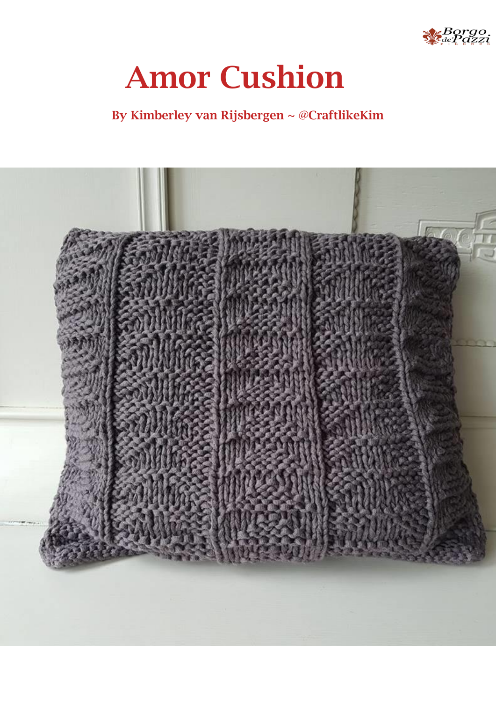

# **Amor Cushion**

## **By Kimberley van Rijsbergen ~ @CraftlikeKim**

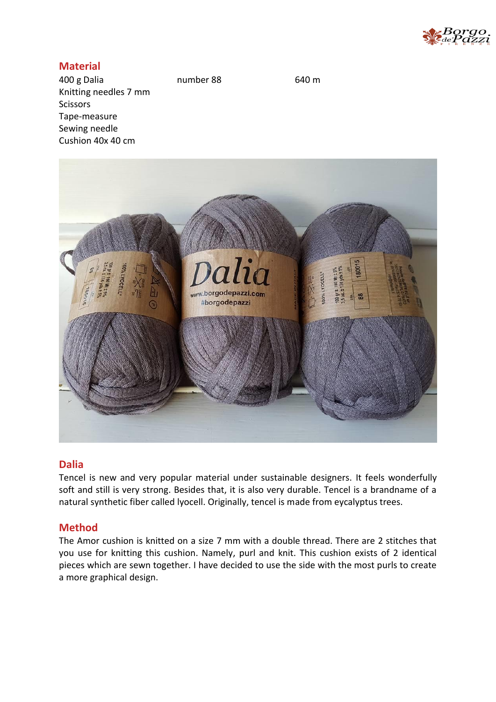

## **Material**

400 g Dalia number 88 640 m Knitting needles 7 mm Scissors Tape-measure Sewing needle Cushion 40x 40 cm



## **Dalia**

Tencel is new and very popular material under sustainable designers. It feels wonderfully soft and still is very strong. Besides that, it is also very durable. Tencel is a brandname of a natural synthetic fiber called lyocell. Originally, tencel is made from eycalyptus trees.

### **Method**

The Amor cushion is knitted on a size 7 mm with a double thread. There are 2 stitches that you use for knitting this cushion. Namely, purl and knit. This cushion exists of 2 identical pieces which are sewn together. I have decided to use the side with the most purls to create a more graphical design.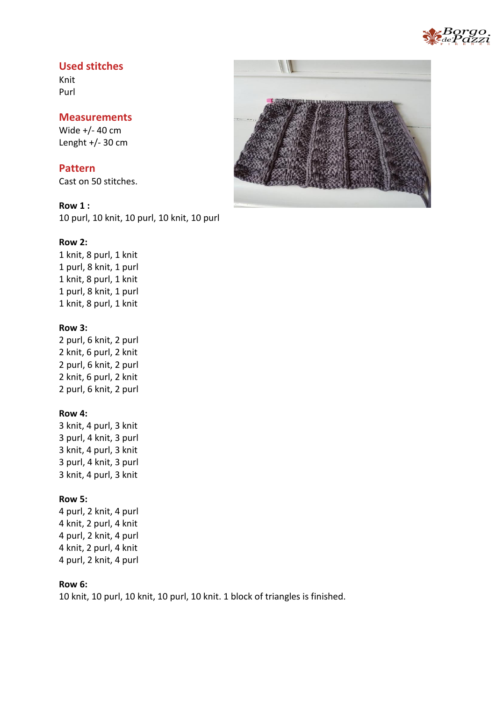

## **Used stitches**

Knit Purl

#### **Measurements**

Wide +/- 40 cm Lenght  $+/- 30$  cm

**Pattern** Cast on 50 stitches.

**Row 1 :** 10 purl, 10 knit, 10 purl, 10 knit, 10 purl

#### **Row 2:**

1 knit, 8 purl, 1 knit 1 purl, 8 knit, 1 purl 1 knit, 8 purl, 1 knit 1 purl, 8 knit, 1 purl 1 knit, 8 purl, 1 knit

#### **Row 3:**

2 purl, 6 knit, 2 purl 2 knit, 6 purl, 2 knit 2 purl, 6 knit, 2 purl 2 knit, 6 purl, 2 knit 2 purl, 6 knit, 2 purl

#### **Row 4:**

3 knit, 4 purl, 3 knit 3 purl, 4 knit, 3 purl 3 knit, 4 purl, 3 knit 3 purl, 4 knit, 3 purl 3 knit, 4 purl, 3 knit

#### **Row 5:**

4 purl, 2 knit, 4 purl 4 knit, 2 purl, 4 knit 4 purl, 2 knit, 4 purl 4 knit, 2 purl, 4 knit 4 purl, 2 knit, 4 purl

## **Row 6:**

10 knit, 10 purl, 10 knit, 10 purl, 10 knit. 1 block of triangles is finished.

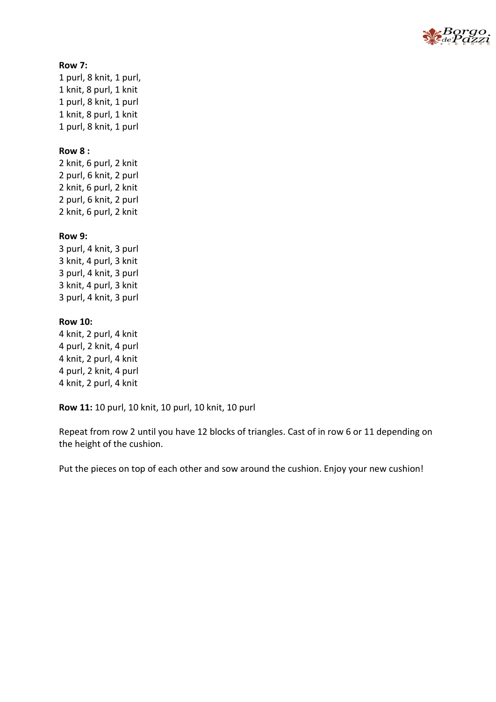

#### **Row 7:**

1 purl, 8 knit, 1 purl, 1 knit, 8 purl, 1 knit 1 purl, 8 knit, 1 purl 1 knit, 8 purl, 1 knit 1 purl, 8 knit, 1 purl

#### **Row 8 :**

2 knit, 6 purl, 2 knit 2 purl, 6 knit, 2 purl 2 knit, 6 purl, 2 knit 2 purl, 6 knit, 2 purl 2 knit, 6 purl, 2 knit

#### **Row 9:**

3 purl, 4 knit, 3 purl 3 knit, 4 purl, 3 knit 3 purl, 4 knit, 3 purl 3 knit, 4 purl, 3 knit 3 purl, 4 knit, 3 purl

#### **Row 10:**

4 knit, 2 purl, 4 knit 4 purl, 2 knit, 4 purl 4 knit, 2 purl, 4 knit 4 purl, 2 knit, 4 purl 4 knit, 2 purl, 4 knit

**Row 11:** 10 purl, 10 knit, 10 purl, 10 knit, 10 purl

Repeat from row 2 until you have 12 blocks of triangles. Cast of in row 6 or 11 depending on the height of the cushion.

Put the pieces on top of each other and sow around the cushion. Enjoy your new cushion!